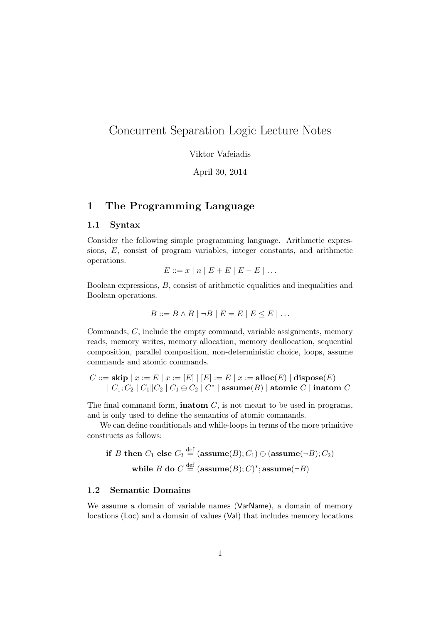# Concurrent Separation Logic Lecture Notes

Viktor Vafeiadis

April 30, 2014

## 1 The Programming Language

### 1.1 Syntax

Consider the following simple programming language. Arithmetic expressions, E, consist of program variables, integer constants, and arithmetic operations.

$$
E ::= x \mid n \mid E + E \mid E - E \mid \dots
$$

Boolean expressions, B, consist of arithmetic equalities and inequalities and Boolean operations.

$$
B ::= B \land B \mid \neg B \mid E = E \mid E \le E \mid \dots
$$

Commands, C, include the empty command, variable assignments, memory reads, memory writes, memory allocation, memory deallocation, sequential composition, parallel composition, non-deterministic choice, loops, assume commands and atomic commands.

$$
C ::= \textbf{skip} | x := E | x := [E] | [E] := E | x := \textbf{alloc}(E) | \textbf{ dispose}(E) | C_1; C_2 | C_1 || C_2 | C_1 \oplus C_2 | C^* | \textbf{assume}(B) | \textbf{atomic } C | \textbf{intom } C
$$

The final command form, **inatom**  $C$ , is not meant to be used in programs, and is only used to define the semantics of atomic commands.

We can define conditionals and while-loops in terms of the more primitive constructs as follows:

if *B* then 
$$
C_1
$$
 else  $C_2 \stackrel{\text{def}}{=} (\text{assume}(B); C_1) \oplus (\text{assume}(\neg B); C_2)$   
while *B* do  $C \stackrel{\text{def}}{=} (\text{assume}(B); C)^*;$  assume $(\neg B)$ 

### 1.2 Semantic Domains

We assume a domain of variable names (VarName), a domain of memory locations (Loc) and a domain of values (Val) that includes memory locations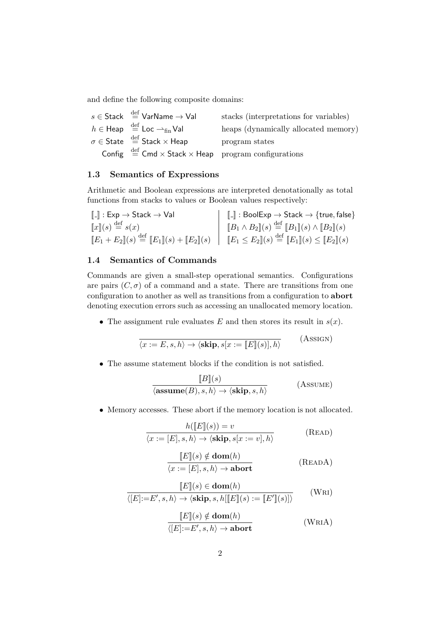and define the following composite domains:

| $s \in$ Stack $\stackrel{\text{def}}{=}$ VarName $\rightarrow$ Val                          | stacks (interpretations for variables) |
|---------------------------------------------------------------------------------------------|----------------------------------------|
| $h \in \text{Heap} \stackrel{\text{def}}{=} \text{Loc} \rightarrow_{\text{fin}} \text{Val}$ | heaps (dynamically allocated memory)   |
| $\sigma \in$ State $\stackrel{\text{def}}{=}$ Stack $\times$ Heap                           | program states                         |
| Config $\stackrel{\text{def}}{=}$ Cmd $\times$ Stack $\times$ Heap program configurations   |                                        |

### 1.3 Semantics of Expressions

Arithmetic and Boolean expressions are interpreted denotationally as total functions from stacks to values or Boolean values respectively:

| $\llbracket \_ \rrbracket : \mathsf{Exp} \to \mathsf{Stack} \to \mathsf{Val}$                                                              | $\ \Gamma\ $ : BoolExp $\rightarrow$ Stack $\rightarrow$ {true, false}                |
|--------------------------------------------------------------------------------------------------------------------------------------------|---------------------------------------------------------------------------------------|
| $\llbracket x \rrbracket(s) \stackrel{\text{def}}{=} s(x)$                                                                                 | $\left[ B_1 \wedge B_2 \right] (s) \stackrel{\text{def}}{=} [B_1](s) \wedge [B_2](s)$ |
| $[[E_1 + E_2](s) \stackrel{\text{def}}{=} [[E_1](s) + [[E_2](s) \mid [[E_1 \le E_2](s) \stackrel{\text{def}}{=} [[E_1](s) \le [[E_2](s))]$ |                                                                                       |

### 1.4 Semantics of Commands

Commands are given a small-step operational semantics. Configurations are pairs  $(C, \sigma)$  of a command and a state. There are transitions from one configuration to another as well as transitions from a configuration to abort denoting execution errors such as accessing an unallocated memory location.

• The assignment rule evaluates E and then stores its result in  $s(x)$ .

$$
\overline{\langle x := E, s, h \rangle \to \langle \mathbf{skip}, s[x := [E](s)], h \rangle}
$$
 (Assigm)

• The assume statement blocks if the condition is not satisfied.

$$
\frac{[B](s)}{\langle \mathbf{assume}(B), s, h \rangle \to \langle \mathbf{skip}, s, h \rangle} \qquad \qquad \text{(Assume)}
$$

• Memory accesses. These abort if the memory location is not allocated.

$$
h([[E](s)) = v
$$
  

$$
\overline{\langle x := [E], s, h \rangle \to \langle \mathbf{skip}, s[x := v], h \rangle}
$$
 (READ)

$$
\boxed{[E](s) \notin \textbf{dom}(h)}
$$
  

$$
\langle x := [E], s, h \rangle \to \textbf{abort}
$$
 (READA)

$$
\boxed{[E](s) \in \textbf{dom}(h)}
$$
  
\n
$$
\overline{\langle [E]:=E',s,h\rangle \to \langle \textbf{skip},s,h[\llbracket E\rrbracket(s) := \llbracket E'\rrbracket(s)]\rangle}
$$
 (WRI)  
\n
$$
\frac{\llbracket E\rrbracket(s) \notin \textbf{dom}(h)}{\langle [E]:=E',s,h\rangle \to \textbf{abort}}
$$
 (WRIA)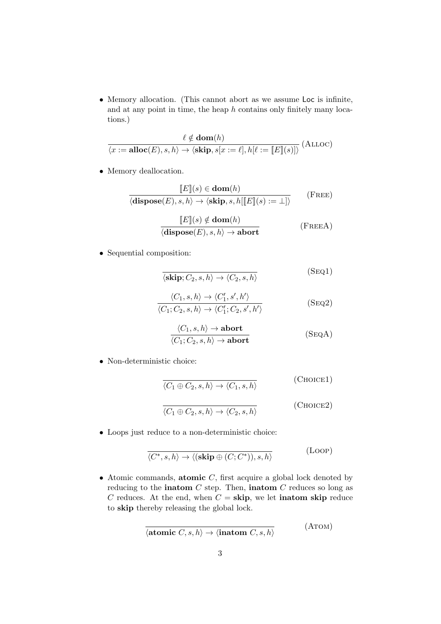• Memory allocation. (This cannot abort as we assume Loc is infinite, and at any point in time, the heap  $h$  contains only finitely many locations.)

$$
\frac{\ell \notin \textbf{dom}(h)}{\langle x := \textbf{alloc}(E), s, h \rangle \to \langle \textbf{skip}, s[x := \ell], h[\ell := \llbracket E \rrbracket(s)] \rangle} \text{ (ALLOC)}
$$

• Memory deallocation.

$$
\frac{\llbracket E \rrbracket(s) \in \textbf{dom}(h)}{\langle \textbf{dispose}(E), s, h \rangle \to \langle \textbf{skip}, s, h \llbracket E \rrbracket(s) := \bot \rangle} \qquad (\text{Free})
$$

$$
\frac{\llbracket E \rrbracket(s) \notin \textbf{dom}(h)}{\langle \textbf{dispose}(E), s, h \rangle \to \textbf{abort}} \tag{FreeA}
$$

• Sequential composition:

$$
\overline{\langle \mathbf{skip}; C_2, s, h \rangle \to \langle C_2, s, h \rangle} \tag{Seq1}
$$

$$
\frac{\langle C_1, s, h \rangle \to \langle C'_1, s', h' \rangle}{\langle C_1; C_2, s, h \rangle \to \langle C'_1; C_2, s', h' \rangle}
$$
 (SEQ2)

$$
\frac{\langle C_1, s, h \rangle \to \text{abort}}{\langle C_1, C_2, s, h \rangle \to \text{abort}} \tag{SeqA}
$$

• Non-deterministic choice:

$$
\overline{\langle C_1 \oplus C_2, s, h \rangle \to \langle C_1, s, h \rangle}
$$
 (CHOICE1)  

$$
\overline{\langle C_1 \oplus C_2, s, h \rangle \to \langle C_2, s, h \rangle}
$$
 (CHOICE2)

• Loops just reduce to a non-deterministic choice:

$$
\overline{\langle C^*, s, h \rangle \to \langle (\mathbf{skip} \oplus (C; C^*)), s, h \rangle}
$$
 (Loop)

• Atomic commands, atomic  $C$ , first acquire a global lock denoted by reducing to the **inatom**  $C$  step. Then, **inatom**  $C$  reduces so long as C reduces. At the end, when  $C =$ **skip**, we let **inatom skip** reduce to skip thereby releasing the global lock.

$$
\overline{\langle \text{atomic } C, s, h \rangle \to \langle \text{inatom } C, s, h \rangle} \tag{ATOM}
$$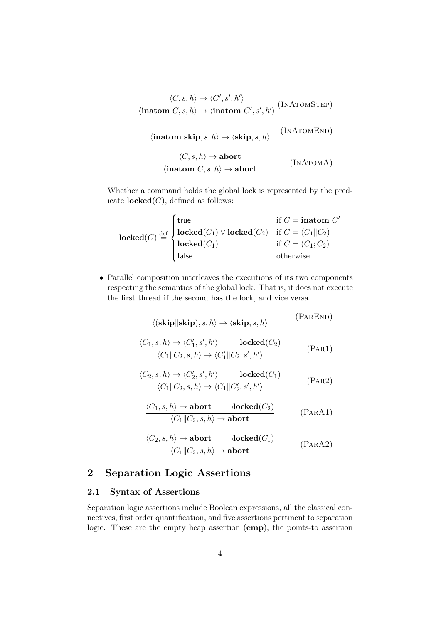$$
\frac{\langle C, s, h \rangle \to \langle C', s', h' \rangle}{\langle \mathbf{inatom} \ C, s, h \rangle \to \langle \mathbf{inatom} \ C', s', h' \rangle} \quad (\text{INATOMSTEP})
$$
\n
$$
\frac{\langle \mathbf{inatom skip}, s, h \rangle \to \langle \mathbf{skip}, s, h \rangle}{\langle \mathbf{inatom skip}, s, h \rangle \to \mathbf{abort}} \quad (\text{INATOMEND})
$$
\n
$$
\frac{\langle C, s, h \rangle \to \mathbf{abort}}{\langle \mathbf{inatom} \ C, s, h \rangle \to \mathbf{abort}} \quad (\text{INATOMA})
$$

Whether a command holds the global lock is represented by the predicate  $\textbf{locked}(C)$ , defined as follows:

$$
locked(C) \stackrel{\text{def}}{=} \begin{cases} \text{true} & \text{if } C = \text{inatom } C' \\ \text{locked}(C_1) \vee \text{locked}(C_2) & \text{if } C = (C_1 || C_2) \\ \text{locked}(C_1) & \text{if } C = (C_1; C_2) \\ \text{false} & \text{otherwise} \end{cases}
$$

• Parallel composition interleaves the executions of its two components respecting the semantics of the global lock. That is, it does not execute the first thread if the second has the lock, and vice versa.

$$
\frac{\langle (\mathbf{skip}||\mathbf{skip}), s, h \rangle \to \langle \mathbf{skip}, s, h \rangle \quad (\text{PAREND})}{\langle (C_1, s, h) \to \langle C_1', s', h' \rangle \quad \neg \mathbf{locked}(C_2) \quad \langle C_1 || C_2, s, h \rangle \to \langle C_1' || C_2, s', h' \rangle} \quad (\text{PAR1})
$$
\n
$$
\frac{\langle C_2, s, h \rangle \to \langle C_2', s', h' \rangle \quad \neg \mathbf{locked}(C_1)}{\langle C_1 || C_2, s, h \rangle \to \langle C_1 || C_2', s', h' \rangle} \quad (\text{PAR2})
$$

$$
\frac{\langle C_1, s, h \rangle \to \text{abort} \qquad \neg \text{locked}(C_2)}{\langle C_1 \| C_2, s, h \rangle \to \text{abort}} \tag{PARA1}
$$

$$
\frac{\langle C_2, s, h \rangle \to \textbf{abort} \qquad \neg \textbf{locked}(C_1)}{\langle C_1 \| C_2, s, h \rangle \to \textbf{abort}} \tag{PARA2}
$$

## <span id="page-3-0"></span>2 Separation Logic Assertions

## 2.1 Syntax of Assertions

Separation logic assertions include Boolean expressions, all the classical connectives, first order quantification, and five assertions pertinent to separation logic. These are the empty heap assertion (emp), the points-to assertion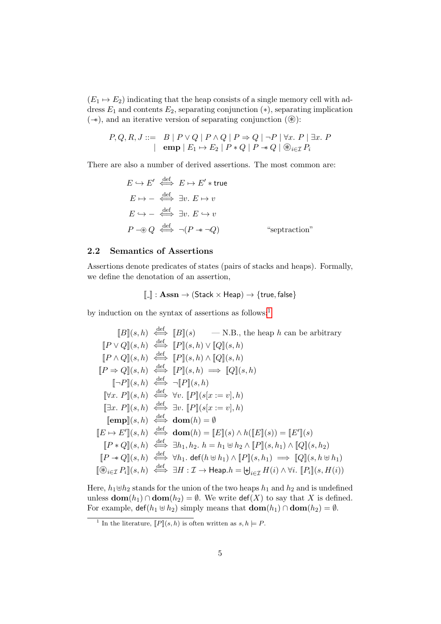$(E_1 \mapsto E_2)$  indicating that the heap consists of a single memory cell with address  $E_1$  and contents  $E_2$ , separating conjunction  $(*)$ , separating implication  $(\rightarrow)$ , and an iterative version of separating conjunction  $(\circledast)$ :

$$
P, Q, R, J ::= B | P \lor Q | P \land Q | P \Rightarrow Q | \neg P | \forall x. P | \exists x. P
$$
  
 
$$
\left| \begin{array}{c} \text{emp} | E_1 \mapsto E_2 | P * Q | P \Rightarrow Q | \neg P | \forall x. P | \exists x. P \end{array} \right|
$$

There are also a number of derived assertions. The most common are:

$$
E \hookrightarrow E' \stackrel{\text{def}}{\iff} E \mapsto E' * \text{true}
$$
  
\n
$$
E \mapsto - \stackrel{\text{def}}{\iff} \exists v. \ E \mapsto v
$$
  
\n
$$
E \hookrightarrow - \stackrel{\text{def}}{\iff} \exists v. \ E \hookrightarrow v
$$
  
\n
$$
P \twoheadrightarrow Q \stackrel{\text{def}}{\iff} \neg(P \twoheadrightarrow \neg Q) \qquad \text{``seprraction''}
$$

### 2.2 Semantics of Assertions

Assertions denote predicates of states (pairs of stacks and heaps). Formally, we define the denotation of an assertion,

$$
\llbracket . \rrbracket : \mathbf{Assn} \to (\mathsf{Stack} \times \mathsf{Heap}) \to \{\mathsf{true}, \mathsf{false}\}
$$

by induction on the syntax of assertions as follows:<sup>[1](#page-4-0)</sup>

$$
[B](s, h) \stackrel{\text{def}}{\iff} [B](s) \qquad -N.B., \text{ the heap } h \text{ can be arbitrary}
$$
\n
$$
[P \vee Q](s, h) \stackrel{\text{def}}{\iff} [P](s, h) \vee [Q](s, h)
$$
\n
$$
[P \wedge Q](s, h) \stackrel{\text{def}}{\iff} [P](s, h) \wedge [Q](s, h)
$$
\n
$$
[P \Rightarrow Q](s, h) \stackrel{\text{def}}{\iff} [P](s, h) \Rightarrow [Q](s, h)
$$
\n
$$
[\neg P](s, h) \stackrel{\text{def}}{\iff} \neg [P](s, h)
$$
\n
$$
[\forall x. P](s, h) \stackrel{\text{def}}{\iff} \forall v. [P](s[x := v], h)
$$
\n
$$
[\exists x. P](s, h) \stackrel{\text{def}}{\iff} \exists v. [P](s[x := v], h)
$$
\n
$$
[emp](s, h) \stackrel{\text{def}}{\iff} \text{dom}(h) = \emptyset
$$
\n
$$
[E \mapsto E'](s, h) \stackrel{\text{def}}{\iff} \text{dom}(h) = [E](s) \wedge h([E](s)) = [E'](s)
$$
\n
$$
[P * Q](s, h) \stackrel{\text{def}}{\iff} \exists h_1, h_2, h = h_1 \uplus h_2 \wedge [P](s, h_1) \wedge [Q](s, h_2)
$$
\n
$$
[P \twoheadleftarrow Q](s, h) \stackrel{\text{def}}{\iff} \forall h_1. \text{ def}(h \Downarrow h_1) \wedge [P](s, h_1) \implies [Q](s, h \Downarrow h_1)
$$
\n
$$
[\mathcal{B}_{i \in \mathcal{I}} P_i](s, h) \stackrel{\text{def}}{\iff} \exists H : \mathcal{I} \rightarrow \text{Heap}. h = \biguplus_{i \in \mathcal{I}} H(i) \wedge \forall i. [P_i](s, H(i))
$$

Here,  $h_1 \oplus h_2$  stands for the union of the two heaps  $h_1$  and  $h_2$  and is undefined unless  $\textbf{dom}(h_1) \cap \textbf{dom}(h_2) = \emptyset$ . We write  $\text{def}(X)$  to say that X is defined. For example,  $\det(h_1 \oplus h_2)$  simply means that  $\operatorname{dom}(h_1) \cap \operatorname{dom}(h_2) = \emptyset$ .

<span id="page-4-0"></span><sup>&</sup>lt;sup>1</sup> In the literature,  $[ P \cdot ] (s, h)$  is often written as  $s, h \models P$ .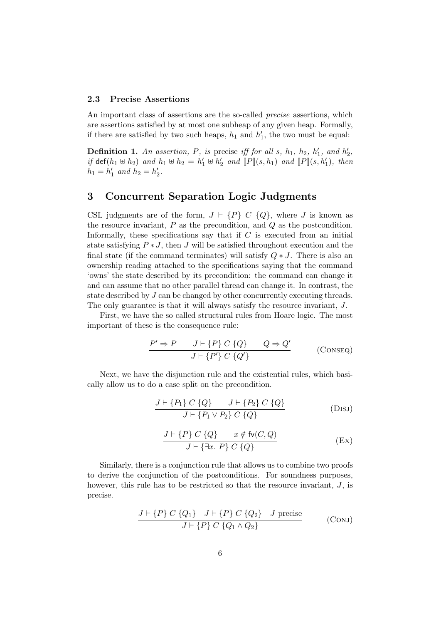#### 2.3 Precise Assertions

An important class of assertions are the so-called precise assertions, which are assertions satisfied by at most one subheap of any given heap. Formally, if there are satisfied by two such heaps,  $h_1$  and  $h'_1$ , the two must be equal:

<span id="page-5-0"></span>**Definition 1.** An assertion, P, is precise iff for all s,  $h_1$ ,  $h_2$ ,  $h'_1$ , and  $h'_2$ , if  $\det(h_1 \oplus h_2)$  and  $h_1 \oplus h_2 = h'_1 \oplus h'_2$  and  $[ P ] (s, h_1)$  and  $[ P ] (s, h'_1)$ , then  $h_1 = h'_1$  and  $h_2 = h'_2$ .

## 3 Concurrent Separation Logic Judgments

CSL judgments are of the form,  $J \vdash \{P\} \ C \ \{Q\}$ , where J is known as the resource invariant,  $P$  as the precondition, and  $Q$  as the postcondition. Informally, these specifications say that if  $C$  is executed from an initial state satisfying  $P * J$ , then J will be satisfied throughout execution and the final state (if the command terminates) will satisfy  $Q * J$ . There is also an ownership reading attached to the specifications saying that the command 'owns' the state described by its precondition: the command can change it and can assume that no other parallel thread can change it. In contrast, the state described by J can be changed by other concurrently executing threads. The only guarantee is that it will always satisfy the resource invariant, J.

First, we have the so called structural rules from Hoare logic. The most important of these is the consequence rule:

$$
\frac{P' \Rightarrow P \qquad J \vdash \{P\} \ C \ \{Q\}}{J \vdash \{P'\} \ C \ \{Q'\}} \qquad ( \text{ConsEq})
$$

Next, we have the disjunction rule and the existential rules, which basically allow us to do a case split on the precondition.

$$
\frac{J \vdash \{P_1\} \ C \ \{Q\}}{J \vdash \{P_1 \lor P_2\} \ C \ \{Q\}} \tag{DISJ}
$$

$$
\frac{J \vdash \{P\} \ C \ \{Q\}}{J \vdash \{\exists x. \ P\} \ C \ \{Q\}} \qquad (Ex)
$$

Similarly, there is a conjunction rule that allows us to combine two proofs to derive the conjunction of the postconditions. For soundness purposes, however, this rule has to be restricted so that the resource invariant, J, is precise.

$$
\frac{J \vdash \{P\} C \{Q_1\} \quad J \vdash \{P\} C \{Q_2\} \quad J \text{ precise}}{J \vdash \{P\} C \{Q_1 \land Q_2\}} \tag{ConJ}
$$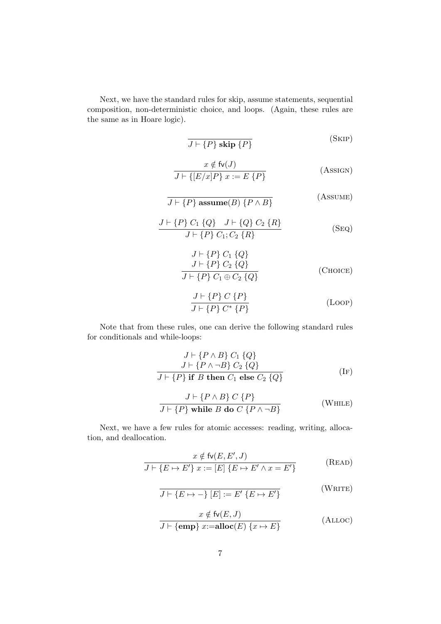Next, we have the standard rules for skip, assume statements, sequential composition, non-deterministic choice, and loops. (Again, these rules are the same as in Hoare logic).

$$
\overline{J \vdash \{P\} \text{ skip } \{P\}} \tag{SKIP}
$$

$$
x \notin f(v)
$$
  

$$
J \vdash \{ [E/x]P \} x := E \{ P \}
$$
 (Assigm)

$$
\overline{J \vdash \{P\} \text{ assume}(B) \{P \land B\}} \tag{Assume}
$$

$$
\frac{J \vdash \{P\} C_1 \{Q\} \quad J \vdash \{Q\} C_2 \{R\}}{J \vdash \{P\} C_1; C_2 \{R\}}
$$
 (Seq)

$$
J \vdash \{P\} C_1 \{Q\}
$$
  
\n
$$
J \vdash \{P\} C_2 \{Q\}
$$
  
\n
$$
J \vdash \{P\} C_1 \oplus C_2 \{Q\}
$$
 (Choose)

$$
\frac{J \vdash \{P\} \ C \ \{P\}}{J \vdash \{P\} \ C^* \ \{P\}}\tag{Loop}
$$

Note that from these rules, one can derive the following standard rules for conditionals and while-loops:

$$
J \vdash \{P \land B\} C_1 \{Q\}
$$
  
\n
$$
J \vdash \{P \land \neg B\} C_2 \{Q\}
$$
  
\n
$$
J \vdash \{P\} \text{ if } B \text{ then } C_1 \text{ else } C_2 \{Q\}
$$
 (IF)

$$
J \vdash \{P \land B\} \ C \ \{P\} \tag{WHILE}
$$
  

$$
J \vdash \{P\} \text{ while } B \text{ do } C \ \{P \land \neg B\}
$$

Next, we have a few rules for atomic accesses: reading, writing, allocation, and deallocation.

$$
x \notin f_v(E, E', J)
$$
  

$$
J \vdash \{E \mapsto E'\} \ x := [E] \{E \mapsto E' \land x = E'\}
$$
 (READ)

$$
J \vdash \{ E \mapsto - \} [E] := E' \{ E \mapsto E' \}
$$
 (WRITE)

$$
x \notin \text{fv}(E, J)
$$
  

$$
J \vdash \{\text{emp}\} x:=\text{alloc}(E) \{x \mapsto E\}
$$
 (ALLOC)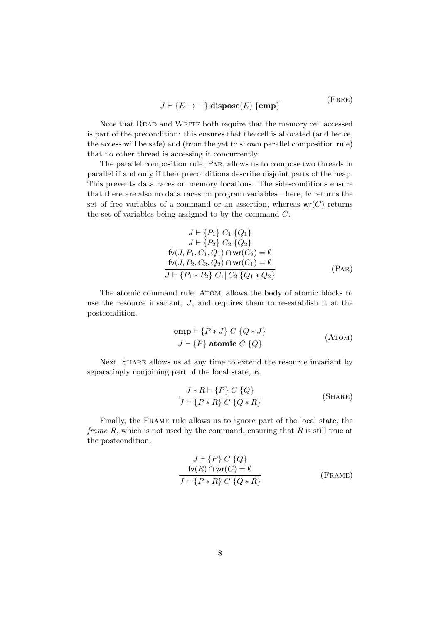$$
\frac{}{J \vdash \{E \mapsto -\} \text{ dispose}(E) \text{ } \{\text{emp}\}} \tag{Free}
$$

Note that READ and WRITE both require that the memory cell accessed is part of the precondition: this ensures that the cell is allocated (and hence, the access will be safe) and (from the yet to shown parallel composition rule) that no other thread is accessing it concurrently.

The parallel composition rule, Par, allows us to compose two threads in parallel if and only if their preconditions describe disjoint parts of the heap. This prevents data races on memory locations. The side-conditions ensure that there are also no data races on program variables—here, fv returns the set of free variables of a command or an assertion, whereas  $wr(C)$  returns the set of variables being assigned to by the command C.

$$
J \vdash \{P_1\} C_1 \{Q_1\} \nJ \vdash \{P_2\} C_2 \{Q_2\} \nfv(J, P_1, C_1, Q_1) \cap wr(C_2) = \emptyset \n\frac{fv(J, P_2, C_2, Q_2) \cap wr(C_1) = \emptyset \nJ \vdash \{P_1 * P_2\} C_1 \|C_2 \{Q_1 * Q_2\}
$$
\n(PAR)

The atomic command rule, ATOM, allows the body of atomic blocks to use the resource invariant, J, and requires them to re-establish it at the postcondition.

$$
\frac{\text{emp} \vdash \{P * J\} \ C \ \{Q * J\}}{J \vdash \{P\} \ \text{atomic} \ C \ \{Q\}} \tag{A\text{TOM}}
$$

Next, SHARE allows us at any time to extend the resource invariant by separatingly conjoining part of the local state, R.

$$
\frac{J * R \vdash \{P\} C \{Q\}}{J \vdash \{P * R\} C \{Q * R\}} \tag{SHARE}
$$

Finally, the Frame rule allows us to ignore part of the local state, the *frame R*, which is not used by the command, ensuring that  $R$  is still true at the postcondition.

$$
J \vdash \{P\} C \{Q\}
$$
  
fv(R) \cap wr(C) = ∅  

$$
J \vdash \{P * R\} C \{Q * R\}
$$
 (Frame)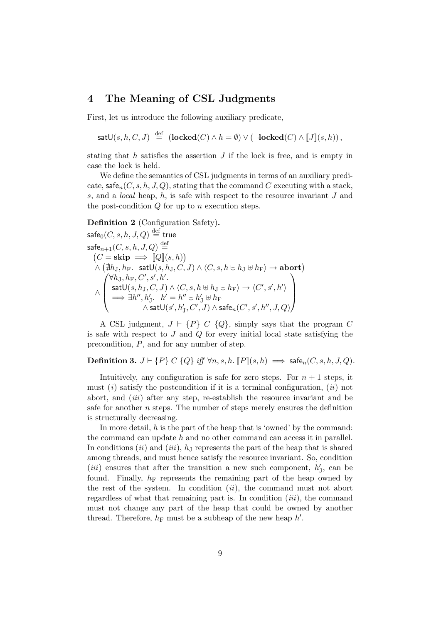## 4 The Meaning of CSL Judgments

First, let us introduce the following auxiliary predicate,

satU(s, h, C, J) 
$$
\stackrel{\text{def}}{=} (\text{locked}(C) \land h = \emptyset) \lor (\neg \text{locked}(C) \land \llbracket J \rrbracket(s, h)),
$$

stating that  $h$  satisfies the assertion  $J$  if the lock is free, and is empty in case the lock is held.

We define the semantics of CSL judgments in terms of an auxiliary predicate,  $\mathsf{safe}_n(C, s, h, J, Q)$ , stating that the command C executing with a stack, s, and a local heap, h, is safe with respect to the resource invariant J and the post-condition  $Q$  for up to n execution steps.

<span id="page-8-0"></span>Definition 2 (Configuration Safety).

$$
\begin{array}{l} \mathsf{safe}_0(C,s,h,J,Q) \stackrel{\mathrm{def}}{=} \mathsf{true} \\ \mathsf{safe}_{n+1}(C,s,h,J,Q) \stackrel{\mathrm{def}}{=} \\ \left(C = \mathbf{skip} \implies [\![Q]\!](s,h)\right) \\ \wedge \left(\nexists h_J, h_F. \quad \mathsf{satU}(s,h_J,C,J) \wedge \langle C,s,h \uplus h_J \uplus h_F \rangle \rightarrow \mathbf{abort}\right) \\ \wedge \left( \begin{matrix} \forall h_J, h_F, C', s', h' \\ \mathsf{satU}(s,h_J,C,J) \wedge \langle C,s,h \uplus h_J \uplus h_F \rangle \rightarrow \langle C',s',h' \rangle \\ \implies \exists h'', h_J'. \quad h' = h'' \uplus h_J' \uplus h_F \\ \wedge \mathsf{satU}(s',h_J',C',J) \wedge \mathsf{safe}_n(C',s',h'',J,Q) \end{matrix} \right) \end{array}
$$

A CSL judgment,  $J \vdash \{P\} \ C \ \{Q\}$ , simply says that the program C is safe with respect to  $J$  and  $Q$  for every initial local state satisfying the precondition, P, and for any number of step.

Definition 3.  $J \vdash \{P\} C \{Q\}$  iff  $\forall n, s, h$ .  $[ P | (s, h) \implies \mathsf{safe}_n(C, s, h, J, Q)$ .

Intuitively, any configuration is safe for zero steps. For  $n + 1$  steps, it must  $(i)$  satisfy the postcondition if it is a terminal configuration,  $(ii)$  not abort, and (iii) after any step, re-establish the resource invariant and be safe for another  $n$  steps. The number of steps merely ensures the definition is structurally decreasing.

In more detail, h is the part of the heap that is 'owned' by the command: the command can update  $h$  and no other command can access it in parallel. In conditions  $(ii)$  and  $(iii)$ ,  $h<sub>J</sub>$  represents the part of the heap that is shared among threads, and must hence satisfy the resource invariant. So, condition (*iii*) ensures that after the transition a new such component,  $h'_{J}$ , can be found. Finally,  $h_F$  represents the remaining part of the heap owned by the rest of the system. In condition  $(ii)$ , the command must not abort regardless of what that remaining part is. In condition  $(iii)$ , the command must not change any part of the heap that could be owned by another thread. Therefore,  $h_F$  must be a subheap of the new heap  $h'$ .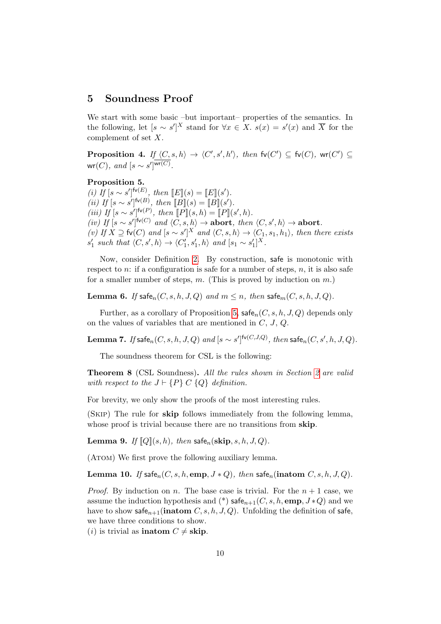## 5 Soundness Proof

We start with some basic –but important– properties of the semantics. In the following, let  $[s \sim s']^X$  stand for  $\forall x \in X$ .  $s(x) = s'(x)$  and  $\overline{X}$  for the complement of set X.

<span id="page-9-5"></span>**Proposition 4.** If  $\langle C, s, h \rangle \rightarrow \langle C', s', h' \rangle$ , then  $f_v(C') \subseteq f_v(C)$ , wr(C')  $\subseteq$  $\mathsf{wr}(C)$ , and  $[s \sim s']^{\mathsf{wr}(C)}$ .

### <span id="page-9-0"></span>Proposition 5.

(i) If  $[s \sim s']^{\mathsf{fv}(E)}$ , then  $\llbracket E \rrbracket(s) = \llbracket E \rrbracket(s')$ . (ii) If  $[s \sim s']^{\mathsf{fv}(B)}$ , then  $[[B]](s) = [[B]](s')$ . (iii) If  $[s \sim s']^{\mathsf{fv}(P)}$ , then  $[P](s, h) = [P](s', h)$ . (iv) If  $[s \sim s']^{\mathsf{fv}(C)}$  and  $\langle C, s, h \rangle \to \text{abort}$ , then  $\langle C, s', h \rangle \to \text{abort}$ . (v) If  $X \supseteq$  fv(C) and  $[s \sim s']^X$  and  $\langle C, s, h \rangle \rightarrow \langle C_1, s_1, h_1 \rangle$ , then there exists  $s'_1$  such that  $\langle C, s', h \rangle \rightarrow \langle C'_1, s'_1, h \rangle$  and  $[s_1 \sim s'_1]^X$ .

Now, consider Definition [2.](#page-8-0) By construction, safe is monotonic with respect to  $n:$  if a configuration is safe for a number of steps,  $n$ , it is also safe for a smaller number of steps,  $m$ . (This is proved by induction on  $m$ .)

<span id="page-9-3"></span>**Lemma 6.** If safe<sub>n</sub> $(C, s, h, J, Q)$  and  $m \leq n$ , then safe<sub>m</sub> $(C, s, h, J, Q)$ .

Further, as a corollary of Proposition [5,](#page-9-0)  $\mathsf{safe}_n(C, s, h, J, Q)$  depends only on the values of variables that are mentioned in  $C, J, Q$ .

<span id="page-9-4"></span> ${\bf Lemma}$  7. If safe $_n(C,s,h,J,Q)$  and  $[s\thicksim s']^{{\sf fv}(C,J,Q)},$  then safe $_n(C,s',h,J,Q).$ 

The soundness theorem for CSL is the following:

Theorem 8 (CSL Soundness). All the rules shown in Section [2](#page-3-0) are valid with respect to the  $J \vdash \{P\} C \{Q\}$  definition.

For brevity, we only show the proofs of the most interesting rules.

(Skip) The rule for skip follows immediately from the following lemma, whose proof is trivial because there are no transitions from skip.

<span id="page-9-1"></span>**Lemma 9.** If  $[Q](s, h)$ , then safe<sub>n</sub>(skip, s, h, J, Q).

(ATOM) We first prove the following auxiliary lemma.

<span id="page-9-2"></span>Lemma 10. If safe<sub>n</sub> $(C, s, h, emp, J * Q)$ , then safe<sub>n</sub>(inatom  $C, s, h, J, Q$ ).

*Proof.* By induction on *n*. The base case is trivial. For the  $n + 1$  case, we assume the induction hypothesis and (\*) safe $_{n+1}(C, s, h, \text{emp}, J * Q)$  and we have to show safe<sub>n+1</sub>(inatom C, s, h, J, Q). Unfolding the definition of safe, we have three conditions to show.

(*i*) is trivial as **inatom**  $C \neq$  **skip**.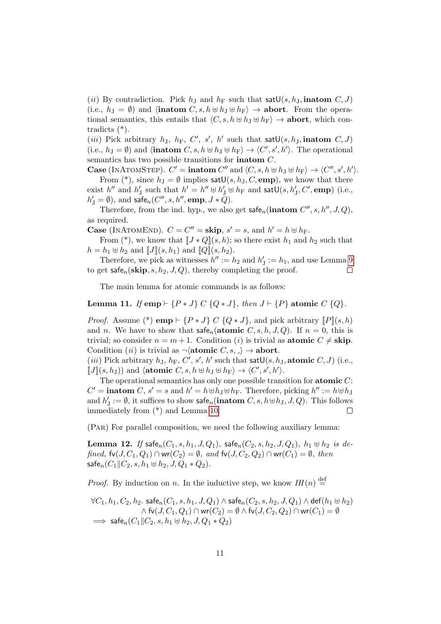(ii) By contradiction. Pick  $h_J$  and  $h_F$  such that sat  $\mathsf{U}(s, h_J, \mathbf{inatom} \; C, J)$ (i.e.,  $h_{\text{J}} = \emptyset$ ) and  $\langle \textbf{inatom } C, s, h \oplus h_{\text{J}} \oplus h_{\text{F}} \rangle \rightarrow \textbf{abort}$ . From the operational semantics, this entails that  $\langle C, s, h \oplus h_J \oplus h_F \rangle \to$  abort, which contradicts (\*).

(*iii*) Pick arbitrary  $h_J$ ,  $h_F$ ,  $C'$ ,  $s'$ ,  $h'$  such that sat $\mathsf{U}(s, h_J, \mathbf{inatom} \ C, J)$ (i.e.,  $h_J = \emptyset$ ) and  $\langle$ **inatom** C, s,  $h \oplus h_J \oplus h_F \rangle \rightarrow \langle C', s', h' \rangle$ . The operational semantics has two possible transitions for inatom C.

Case (INATOMSTEP).  $C' = \textbf{intom } C''$  and  $\langle C, s, h \oplus h_J \oplus h_F \rangle \rightarrow \langle C'', s', h' \rangle$ . From (\*), since  $h_J = \emptyset$  implies sat $\mathsf{U}(s, h_J, C, \mathbf{emp})$ , we know that there

exist  $h''$  and  $h'_J$  such that  $h' = h'' \oplus h'_J \oplus h_F$  and  $satU(s, h'_J, C', emp)$  (i.e.,  $h'_J = \emptyset$ , and safe<sub>n</sub>(C'', s, h'', emp,  $J * Q$ ).

Therefore, from the ind. hyp., we also get  $\mathsf{safe}_n(\mathbf{inatom}\ C'', s, h'', J, Q),$ as required.

**Case** (INATOMEND).  $C = C'' =$ **skip**,  $s' = s$ , and  $h' = h \oplus h_F$ .

From  $(*)$ , we know that  $[[J * Q]](s, h)$ ; so there exist  $h_1$  and  $h_2$  such that  $h = h_1 \oplus h_2$  and  $\llbracket J \rrbracket(s, h_1)$  and  $\llbracket Q \rrbracket(s, h_2)$ .

Therefore, we pick as witnesses  $h'':= h_2$  and  $h'_\text{J}:=h_1$ , and use Lemma [9](#page-9-1) to get safe<sub>n</sub>(skip, s,  $h_2$ , J, Q), thereby completing the proof.  $\Box$ 

The main lemma for atomic commands is as follows:

Lemma 11. If emp  $\vdash \{P * J\} \subset \{Q * J\}$ , then  $J \vdash \{P\}$  atomic  $C \{Q\}$ .

*Proof.* Assume (\*) emp  $\vdash \{P * J\}$  C  $\{Q * J\}$ , and pick arbitrary  $\llbracket P \rrbracket(s, h)$ and n. We have to show that  $\mathsf{safe}_n(\mathbf{atomic}\;C, s, h, J, Q)$ . If  $n = 0$ , this is trivial; so consider  $n = m + 1$ . Condition (*i*) is trivial as **atomic**  $C \neq$  **skip**. Condition (*ii*) is trivial as  $\neg$  (**atomic** C, s,  $\Box$ )  $\rightarrow$  **abort**.

(*iii*) Pick arbitrary  $h_J$ ,  $h_F$ ,  $C'$ ,  $s'$ ,  $h'$  such that sat $\mathsf{U}(s, h_J, \mathbf{atomic}\ C, J)$  (i.e.,  $[J](s, h_J)$  and  $\langle \text{atomic } C, s, h \oplus h_J \oplus h_F \rangle \rightarrow \langle C', s', h' \rangle.$ 

The operational semantics has only one possible transition for atomic  $C$ :  $C' = \textbf{inatom} C, s' = s \text{ and } h' = h \oplus h_J \oplus h_F.$  Therefore, picking  $h'' := h \oplus h_J$ and  $h'_J := \emptyset$ , it suffices to show  $\mathsf{safe}_n(\mathbf{inatom}\;C,s,h \oplus h_J, J, Q)$ . This follows immediately from (\*) and Lemma [10.](#page-9-2)  $\Box$ 

(Par) For parallel composition, we need the following auxiliary lemma:

**Lemma 12.** If safe<sub>n</sub> $(C_1, s, h_1, J, Q_1)$ , safe<sub>n</sub> $(C_2, s, h_2, J, Q_1)$ ,  $h_1 \uplus h_2$  is defined,  $\mathsf{fv}(J, C_1, Q_1) \cap \mathsf{wr}(C_2) = \emptyset$ , and  $\mathsf{fv}(J, C_2, Q_2) \cap \mathsf{wr}(C_1) = \emptyset$ , then safe<sub>n</sub> $(C_1 \| C_2, s, h_1 \oplus h_2, J, Q_1 * Q_2)$ .

*Proof.* By induction on n. In the inductive step, we know  $IH(n) \stackrel{\text{def}}{=}$ 

$$
\forall C_1, h_1, C_2, h_2 \text{. safe}_n(C_1, s, h_1, J, Q_1) \land \text{safe}_n(C_2, s, h_2, J, Q_1) \land \text{def}(h_1 \oplus h_2)
$$
  
\n
$$
\land \text{fv}(J, C_1, Q_1) \cap \text{wr}(C_2) = \emptyset \land \text{fv}(J, C_2, Q_2) \cap \text{wr}(C_1) = \emptyset
$$
  
\n
$$
\implies \text{safe}_n(C_1 || C_2, s, h_1 \oplus h_2, J, Q_1 * Q_2)
$$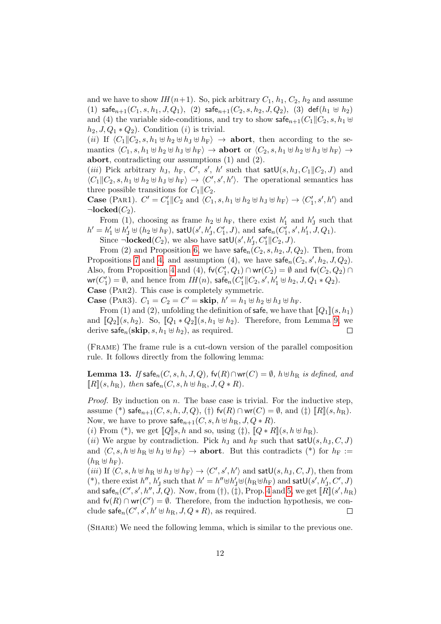and we have to show  $IH(n+1)$ . So, pick arbitrary  $C_1$ ,  $h_1$ ,  $C_2$ ,  $h_2$  and assume (1) safe $_{n+1}(C_1, s, h_1, J, Q_1)$ , (2) safe $_{n+1}(C_2, s, h_2, J, Q_2)$ , (3) def $(h_1 \oplus h_2)$ and (4) the variable side-conditions, and try to show  $\mathsf{safe}_{n+1}(C_1||C_2, s, h_1 \oplus$  $h_2, J, Q_1 * Q_2$ . Condition (*i*) is trivial.

(ii) If  $\langle C_1 \| C_2, s, h_1 \oplus h_2 \oplus h_J \oplus h_F \rangle \rightarrow$  abort, then according to the semantics  $\langle C_1, s, h_1 \oplus h_2 \oplus h_J \oplus h_F \rangle \rightarrow$  abort or  $\langle C_2, s, h_1 \oplus h_2 \oplus h_J \oplus h_F \rangle \rightarrow$ abort, contradicting our assumptions (1) and (2).

(*iii*) Pick arbitrary  $h_J$ ,  $h_F$ ,  $C'$ ,  $s'$ ,  $h'$  such that  $satU(s, h_J, C_1||C_2, J)$  and  $\langle C_1 \| C_2, s, h_1 \oplus h_2 \oplus h_J \oplus h_F \rangle \rightarrow \langle C', s', h' \rangle$ . The operational semantics has three possible transitions for  $C_1||C_2$ .

**Case** (PAR1).  $C' = C'_1 || C_2$  and  $\langle C_1, s, h_1 \uplus h_2 \uplus h_J \uplus h_F \rangle \rightarrow \langle C'_1, s', h' \rangle$  and  $\neg$ locked $(C_2)$ .

From (1), choosing as frame  $h_2 \oplus h_F$ , there exist  $h'_1$  and  $h'_j$  such that  $h' = h'_1 \uplus h'_J \uplus (h_2 \uplus h_F)$ , sat $\mathsf{U}(s',h'_J,C'_1,J)$ , and safe $_n(C'_1,s',h'_1,J,Q_1)$ .

Since  $\neg$ **locked**(*C*<sub>2</sub>), we also have satU(s', h'<sub>J</sub>, C'<sub>1</sub>||*C*<sub>2</sub>, *J*).

From (2) and Proposition [6,](#page-9-3) we have  $\mathsf{safe}_n(C_2, s, h_2, J, Q_2)$ . Then, from Propositions [7](#page-9-4) and [4,](#page-9-5) and assumption (4), we have  $\mathsf{safe}_n(C_2, s', h_2, J, Q_2)$ . Also, from Proposition [4](#page-9-5) and (4),  $fv(C'_1, Q_1) \cap wr(C_2) = \emptyset$  and  $fv(C_2, Q_2) \cap$  $\textsf{wr}(C'_1) = \emptyset$ , and hence from  $IH(n)$ , safe<sub>n</sub> $(C'_1 || C_2, s', h'_1 \uplus h_2, J, Q_1 * Q_2)$ . Case (Par2). This case is completely symmetric.

**Case** (PAR3).  $C_1 = C_2 = C' =$ **skip**,  $h' = h_1 \oplus h_2 \oplus h_J \oplus h_F$ .

From (1) and (2), unfolding the definition of safe, we have that  $[Q_1](s, h_1)$ and  $[Q_2](s, h_2)$ . So,  $[Q_1 * Q_2](s, h_1 \oplus h_2)$ . Therefore, from Lemma [9,](#page-9-1) we derive safe<sub>n</sub>(skip, s,  $h_1 \oplus h_2$ ), as required.  $\Box$ 

(Frame) The frame rule is a cut-down version of the parallel composition rule. It follows directly from the following lemma:

**Lemma 13.** If safe<sub>n</sub> $(C, s, h, J, Q)$ , fv $(R) \cap$ wr $(C) = \emptyset$ ,  $h \oplus h_R$  is defined, and  $\llbracket R \rrbracket(s, h_{\text{R}}), \text{ then } \mathsf{safe}_n(C, s, h \oplus h_{\text{R}}, J, Q \ast R).$ 

*Proof.* By induction on  $n$ . The base case is trivial. For the inductive step, assume (\*) safe $_{n+1}(C, s, h, J, Q)$ , (†) fv(R) ∩ wr(C) = Ø, and (‡)  $[[R]](s, h_R)$ . Now, we have to prove  $\mathsf{safe}_{n+1}(C, s, h \oplus h_R, J, Q \ast R)$ .

(i) From (\*), we get  $\llbracket Q \rrbracket s, h$  and so, using ( $\ddagger$ ),  $\llbracket Q * R \rrbracket (s, h \oplus h_R)$ .

(ii) We argue by contradiction. Pick  $h_J$  and  $h_F$  such that sat $\mathsf{U}(s, h_J, C, J)$ and  $\langle C, s, h \oplus h_R \oplus h_J \oplus h_F \rangle \rightarrow$  **abort**. But this contradicts (\*) for  $h_F :=$  $(h_{\rm R} \oplus h_{\rm F}).$ 

(*iii*) If  $\langle C, s, h \uplus h_R \uplus h_J \uplus h_F \rangle \rightarrow \langle C', s', h' \rangle$  and sat $\mathsf{U}(s, h_J, C, J)$ , then from (\*), there exist  $h'',$   $h'_\text{J}$  such that  $h' = h'' \uplus h'_\text{J} \uplus (h_\text{R} \uplus h_\text{F})$  and  $\textsf{satU}(s',h'_\text{J},C',J)$ and safe $_n(C', s', h'', J, Q)$ . Now, from  $(\dagger), (\dagger)$ , Prop. [4](#page-9-5) and [5,](#page-9-0) we get  $[\![\dot{R}]\!](s', h_{\rm R})$ and  $f\nu(R) \cap \text{wr}(C') = \emptyset$ . Therefore, from the induction hypothesis, we conclude  $\mathsf{safe}_n(C', s', h' \oplus h_R, J, Q * R)$ , as required.  $\Box$ 

(Share) We need the following lemma, which is similar to the previous one.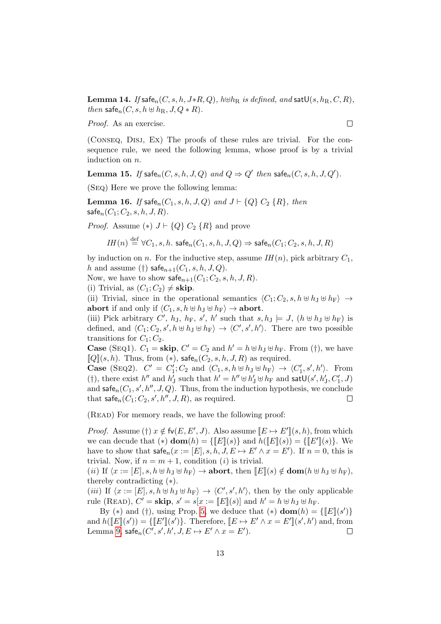**Lemma 14.** If safe<sub>n</sub> $(C, s, h, J * R, Q)$ ,  $h \oplus h_R$  is defined, and sat $\mathsf{U}(s, h_R, C, R)$ , then safe $_n(C, s, h \oplus h_R, J, Q \ast R)$ .

Proof. As an exercise.

(Conseq, Disj, Ex) The proofs of these rules are trivial. For the consequence rule, we need the following lemma, whose proof is by a trivial induction on n.

**Lemma 15.** If  $\mathsf{safe}_n(C, s, h, J, Q)$  and  $Q \Rightarrow Q'$  then  $\mathsf{safe}_n(C, s, h, J, Q').$ 

(Seq) Here we prove the following lemma:

**Lemma 16.** If safe<sub>n</sub> $(C_1, s, h, J, Q)$  and  $J \vdash \{Q\} C_2 \{R\}$ , then  $\mathsf{safe}_n(C_1; C_2, s, h, J, R).$ 

*Proof.* Assume (\*)  $J \vdash \{Q\} C_2 \{R\}$  and prove

$$
\mathit{IH}(n) \stackrel{\mathrm{def}}{=} \forall C_1, s, h.\ \mathsf{safe}_n(C_1, s, h, J, Q) \Rightarrow \mathsf{safe}_n(C_1; C_2, s, h, J, R)
$$

by induction on n. For the inductive step, assume  $IH(n)$ , pick arbitrary  $C_1$ , h and assume (†) safe $_{n+1}(C_1, s, h, J, Q)$ .

Now, we have to show  $\mathsf{safe}_{n+1}(C_1; C_2, s, h, J, R)$ .

(i) Trivial, as  $(C_1; C_2) \neq \mathbf{skip}$ .

(ii) Trivial, since in the operational semantics  $\langle C_1; C_2, s, h \oplus h_J \oplus h_F \rangle \rightarrow$ abort if and only if  $\langle C_1, s, h \oplus h_J \oplus h_F \rangle \to$  abort.

(iii) Pick arbitrary C',  $h_J$ ,  $h_F$ , s', h' such that  $s, h_J \models J$ ,  $(h \not\leftrightarrow h_J \not\leftrightarrow h_F)$  is defined, and  $\langle C_1; C_2, s', h \oplus h_J \oplus h_F \rangle \to \langle C', s', h' \rangle$ . There are two possible transitions for  $C_1$ ;  $C_2$ .

**Case** (SEQ1).  $C_1 = \textbf{skip}$ ,  $C' = C_2$  and  $h' = h \oplus h_J \oplus h_F$ . From (†), we have  $\llbracket Q \rrbracket(s, h)$ . Thus, from  $(*),$  safe $_n(C_2, s, h, J, R)$  as required.

**Case** (SEQ2).  $C' = C'_1$ ;  $C_2$  and  $\langle C_1, s, h \uplus h_J \uplus h_F \rangle \rightarrow \langle C'_1, s', h' \rangle$ . From (†), there exist  $h''$  and  $h'_J$  such that  $h' = h'' \uplus h'_J \uplus h_F$  and  $\mathsf{satU}(s',h'_J,C'_1,J)$ and safe<sub>n</sub> $(C_1, s', h'', J, Q)$ . Thus, from the induction hypothesis, we conclude that  $\mathsf{safe}_n(C_1; C_2, s', h'', J, R)$ , as required.  $\Box$ 

(Read) For memory reads, we have the following proof:

*Proof.* Assume (†)  $x \notin f_v(E, E', J)$ . Also assume  $[[E \mapsto E']](s, h)$ , from which we can decude that  $(*)$   $\text{dom}(h) = \{\llbracket E \rrbracket(s)\}$  and  $h(\llbracket E \rrbracket(s)) = \{\llbracket E' \rrbracket(s)\}.$  We have to show that  $\mathsf{safe}_n(x) := [E], s, h, J, E \mapsto E' \wedge x = E'$ . If  $n = 0$ , this is trivial. Now, if  $n = m + 1$ , condition (*i*) is trivial.

(ii) If  $\langle x := [E], s, h \oplus h_J \oplus h_F \rangle \rightarrow$  abort, then  $[[E](s) \notin \text{dom}(h \oplus h_J \oplus h_F),$ thereby contradicting (∗).

(*iii*) If  $\langle x := [E], s, h \oplus h_J \oplus h_F \rangle \rightarrow \langle C', s', h' \rangle$ , then by the only applicable rule (READ),  $C' =$ **skip**,  $s' = s[x := [[E]](s)]$  and  $h' = h \oplus h_J \oplus h_F$ .

By (\*) and (†), using Prop. [5,](#page-9-0) we deduce that (\*)  $\textbf{dom}(h) = \{\llbracket E \rrbracket(s')\}$ and  $h([E](s')) = \{ [E'](s') \}$ . Therefore,  $[E \mapsto E' \wedge x = E'](s', h')$  and, from Lemma [9,](#page-9-1) safe $_n(C', s', h', J, E \mapsto E' \wedge x = E')$ .  $\Box$ 

 $\Box$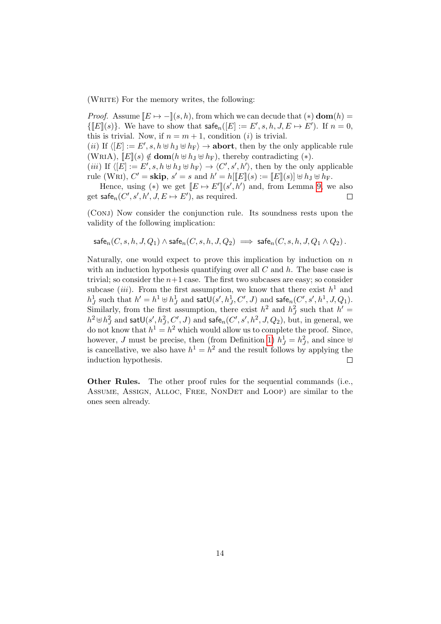(WRITE) For the memory writes, the following:

*Proof.* Assume  $[E \mapsto -](s, h)$ , from which we can decude that  $(*)$  dom $(h)$  =  $\{ [E](s) \}.$  We have to show that  $\mathsf{safe}_n([E] := E', s, h, J, E \mapsto E')$ . If  $n = 0$ , this is trivial. Now, if  $n = m + 1$ , condition (*i*) is trivial.

(*ii*) If  $\langle [E] := E', s, h \oplus h_J \oplus h_F \rangle \to \text{abort}$ , then by the only applicable rule (WRIA),  $\llbracket E \rrbracket(s) \notin \textbf{dom}(h \uplus h_J \uplus h_F)$ , thereby contradicting (\*).

(*iii*) If  $\langle [E] := E', s, h \oplus h_J \oplus h_F \rangle \to \langle C', s', h' \rangle$ , then by the only applicable rule (WRI),  $C' = \mathbf{skip}$ ,  $s' = s$  and  $h' = h[[E](s) := [E](s)] \uplus h_J \uplus h_F$ .

Hence, using (\*) we get  $[[E \mapsto E']](s',h')$  and, from Lemma [9,](#page-9-1) we also get safe $_n(C', s', h', J, E \mapsto E')$ , as required.  $\Box$ 

(CONJ) Now consider the conjunction rule. Its soundness rests upon the validity of the following implication:

$$
\mathsf{safe}_n(C, s, h, J, Q_1) \land \mathsf{safe}_n(C, s, h, J, Q_2) \implies \mathsf{safe}_n(C, s, h, J, Q_1 \land Q_2).
$$

Naturally, one would expect to prove this implication by induction on  $n$ with an induction hypothesis quantifying over all  $C$  and  $h$ . The base case is trivial; so consider the  $n+1$  case. The first two subcases are easy; so consider subcase *(iii)*. From the first assumption, we know that there exist  $h^1$  and  $h_J^1$  such that  $h' = h^1 \uplus h_J^1$  and  $\mathsf{satU}(s',h_J^1,C',J)$  and  $\mathsf{safe}_n(C',s',h^1,J,Q_1)$ . Similarly, from the first assumption, there exist  $h^2$  and  $h^2_J$  such that  $h' =$  $h^2 \uplus h_J^2$  and  $\mathsf{satU}(s',h_J^2,C',J)$  and  $\mathsf{safe}_n(C',s',h^2,J,Q_2),$  but, in general, we do not know that  $h^1 = h^2$  which would allow us to complete the proof. Since, however, J must be precise, then (from Definition [1\)](#page-5-0)  $h_J^1 = h_J^2$ , and since  $\biguplus$ is cancellative, we also have  $h^1 = h^2$  and the result follows by applying the induction hypothesis.  $\Box$ 

Other Rules. The other proof rules for the sequential commands (i.e., Assume, Assign, Alloc, Free, NonDet and Loop) are similar to the ones seen already.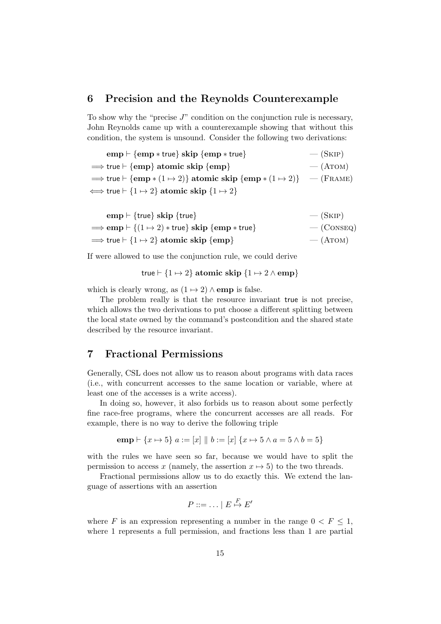## 6 Precision and the Reynolds Counterexample

To show why the "precise  $J$ " condition on the conjunction rule is necessary, John Reynolds came up with a counterexample showing that without this condition, the system is unsound. Consider the following two derivations:

 $e$ emp  $\vdash \{emp * true\}$  skip  $\{emp * true\}$   $(SKIP)$  $\Rightarrow$  true  $\vdash$  {emp} atomic skip {emp}  $-$  (ATOM)  $\Rightarrow$  true  $\vdash \{emp * (1 \mapsto 2)\}$  atomic skip  $\{emp * (1 \mapsto 2)\}$  — (FRAME)  $\Longleftrightarrow$  true  $\vdash$  {1  $\leftrightarrow$  2} atomic skip {1  $\leftrightarrow$  2}

| $\text{emp} \vdash \{\text{true}\}\ \text{skip} \{\text{true}\}\$                                | $-$ (SKIP)   |
|--------------------------------------------------------------------------------------------------|--------------|
| $\Rightarrow$ emp $\vdash \{(1 \mapsto 2) * \text{true}\}\$ skip $\{\text{emp} * \text{true}\}\$ | $-$ (CONSEQ) |
| $\Rightarrow$ true $\vdash$ {1 $\leftrightarrow$ 2} atomic skip {emp}                            | $-$ (ATOM)   |

If were allowed to use the conjunction rule, we could derive

true 
$$
\vdash
$$
 {1  $\mapsto$  2} atomic skip {1  $\mapsto$  2  $\land$  emp}

which is clearly wrong, as  $(1 \mapsto 2) \wedge$  emp is false.

The problem really is that the resource invariant true is not precise, which allows the two derivations to put choose a different splitting between the local state owned by the command's postcondition and the shared state described by the resource invariant.

## 7 Fractional Permissions

Generally, CSL does not allow us to reason about programs with data races (i.e., with concurrent accesses to the same location or variable, where at least one of the accesses is a write access).

In doing so, however, it also forbids us to reason about some perfectly fine race-free programs, where the concurrent accesses are all reads. For example, there is no way to derive the following triple

$$
emp \vdash \{x \mapsto 5\} \ a := [x] \parallel b := [x] \{x \mapsto 5 \land a = 5 \land b = 5\}
$$

with the rules we have seen so far, because we would have to split the permission to access x (namely, the assertion  $x \mapsto 5$ ) to the two threads.

Fractional permissions allow us to do exactly this. We extend the language of assertions with an assertion

$$
P ::= \ldots | E \stackrel{F}{\mapsto} E'
$$

where F is an expression representing a number in the range  $0 \lt F \leq 1$ , where 1 represents a full permission, and fractions less than 1 are partial